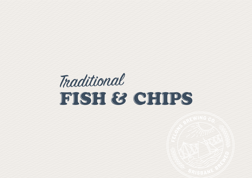# Traditional FISH & CHIPS